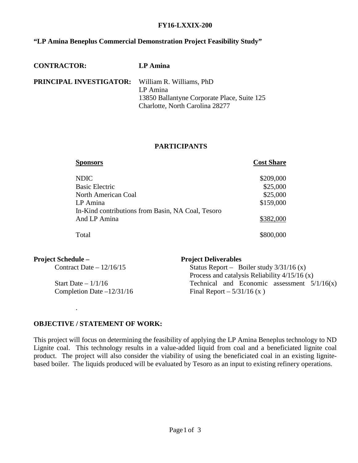#### **FY16-LXXIX-200**

# **"LP Amina Beneplus Commercial Demonstration Project Feasibility Study"**

| <b>PRINCIPAL INVESTIGATOR:</b> William R. Williams, PhD<br>LP Amina<br>13850 Ballantyne Corporate Place, Suite 125<br>Charlotte, North Carolina 28277 |  |
|-------------------------------------------------------------------------------------------------------------------------------------------------------|--|

### **PARTICIPANTS**

| <b>Sponsors</b>                                   | <b>Cost Share</b> |
|---------------------------------------------------|-------------------|
| <b>NDIC</b>                                       | \$209,000         |
| <b>Basic Electric</b>                             | \$25,000          |
| North American Coal                               | \$25,000          |
| LP Amina                                          | \$159,000         |
| In-Kind contributions from Basin, NA Coal, Tesoro |                   |
| And LP Amina                                      | \$382,000         |
| Total                                             | \$800,000         |

| <b>Project Schedule –</b>   | <b>Project Deliverables</b>                     |
|-----------------------------|-------------------------------------------------|
| Contract Date $-12/16/15$   | Status Report – Boiler study $3/31/16$ (x)      |
|                             | Process and catalysis Reliability $4/15/16$ (x) |
| Start Date $-1/1/16$        | Technical and Economic assessment $5/1/16(x)$   |
| Completion Date $-12/31/16$ | Final Report $-5/31/16$ (x)                     |

#### **OBJECTIVE / STATEMENT OF WORK:**

.

This project will focus on determining the feasibility of applying the LP Amina Beneplus technology to ND Lignite coal. This technology results in a value-added liquid from coal and a beneficiated lignite coal product. The project will also consider the viability of using the beneficiated coal in an existing lignitebased boiler. The liquids produced will be evaluated by Tesoro as an input to existing refinery operations.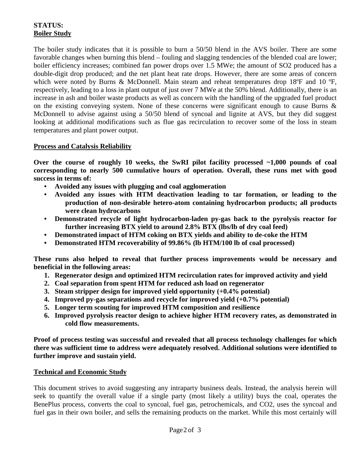# **STATUS: Boiler Study**

The boiler study indicates that it is possible to burn a 50/50 blend in the AVS boiler. There are some favorable changes when burning this blend – fouling and slagging tendencies of the blended coal are lower; boiler efficiency increases; combined fan power drops over 1.5 MWe; the amount of SO2 produced has a double-digit drop produced; and the net plant heat rate drops. However, there are some areas of concern which were noted by Burns & McDonnell. Main steam and reheat temperatures drop 18 $\degree$ F and 10 $\degree$ F. respectively, leading to a loss in plant output of just over 7 MWe at the 50% blend. Additionally, there is an increase in ash and boiler waste products as well as concern with the handling of the upgraded fuel product on the existing conveying system. None of these concerns were significant enough to cause Burns & McDonnell to advise against using a 50/50 blend of syncoal and lignite at AVS, but they did suggest looking at additional modifications such as flue gas recirculation to recover some of the loss in steam temperatures and plant power output.

### **Process and Catalysis Reliability**

**Over the course of roughly 10 weeks, the SwRI pilot facility processed ~1,000 pounds of coal corresponding to nearly 500 cumulative hours of operation. Overall, these runs met with good success in terms of:**

- **• Avoided any issues with plugging and coal agglomeration**
- **• Avoided any issues with HTM deactivation leading to tar formation, or leading to the production of non-desirable hetero-atom containing hydrocarbon products; all products were clean hydrocarbons**
- **• Demonstrated recycle of light hydrocarbon-laden py-gas back to the pyrolysis reactor for further increasing BTX yield to around 2.8% BTX (lbs/lb of dry coal feed)**
- **• Demonstrated impact of HTM coking on BTX yields and ability to de-coke the HTM**
- **• Demonstrated HTM recoverability of 99.86% (lb HTM/100 lb of coal processed)**

**These runs also helped to reveal that further process improvements would be necessary and beneficial in the following areas:**

- **1. Regenerator design and optimized HTM recirculation rates for improved activity and yield**
- **2. Coal separation from spent HTM for reduced ash load on regenerator**
- **3. Steam stripper design for improved yield opportunity (+0.4% potential)**
- **4. Improved py-gas separations and recycle for improved yield (+0.7% potential)**
- **5. Longer term scouting for improved HTM composition and resilience**
- **6. Improved pyrolysis reactor design to achieve higher HTM recovery rates, as demonstrated in cold flow measurements.**

**Proof of process testing was successful and revealed that all process technology challenges for which there was sufficient time to address were adequately resolved. Additional solutions were identified to further improve and sustain yield.**

### **Technical and Economic Study**

This document strives to avoid suggesting any intraparty business deals. Instead, the analysis herein will seek to quantify the overall value if a single party (most likely a utility) buys the coal, operates the BenePlus process, converts the coal to syncoal, fuel gas, petrochemicals, and CO2, uses the syncoal and fuel gas in their own boiler, and sells the remaining products on the market. While this most certainly will